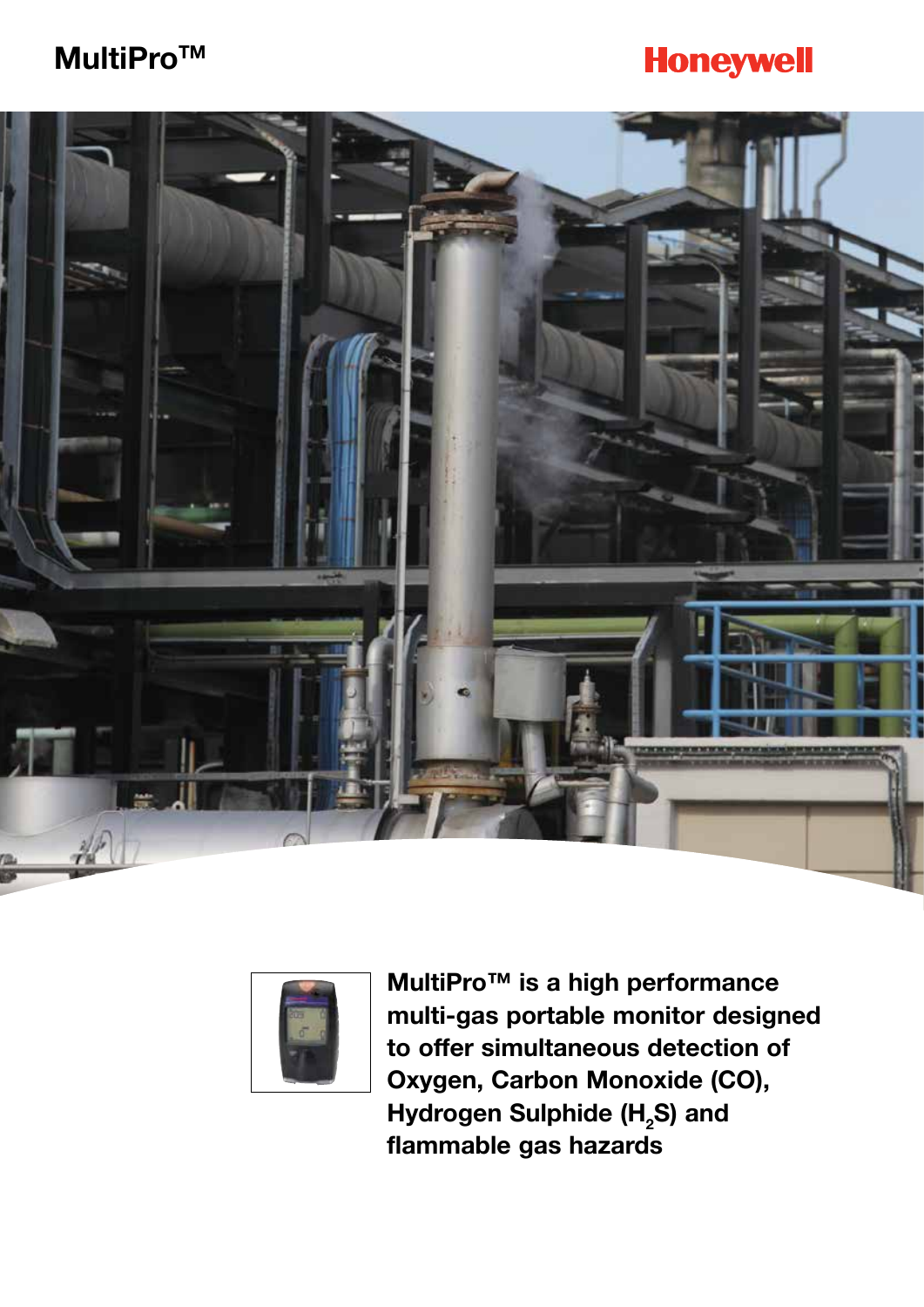## **MultiProTM**

# **Honeywell**





**MultiPro™ is a high performance multi-gas portable monitor designed to offer simultaneous detection of Oxygen, Carbon Monoxide (CO),**  Hydrogen Sulphide (H<sub>2</sub>S) and **flammable gas hazards**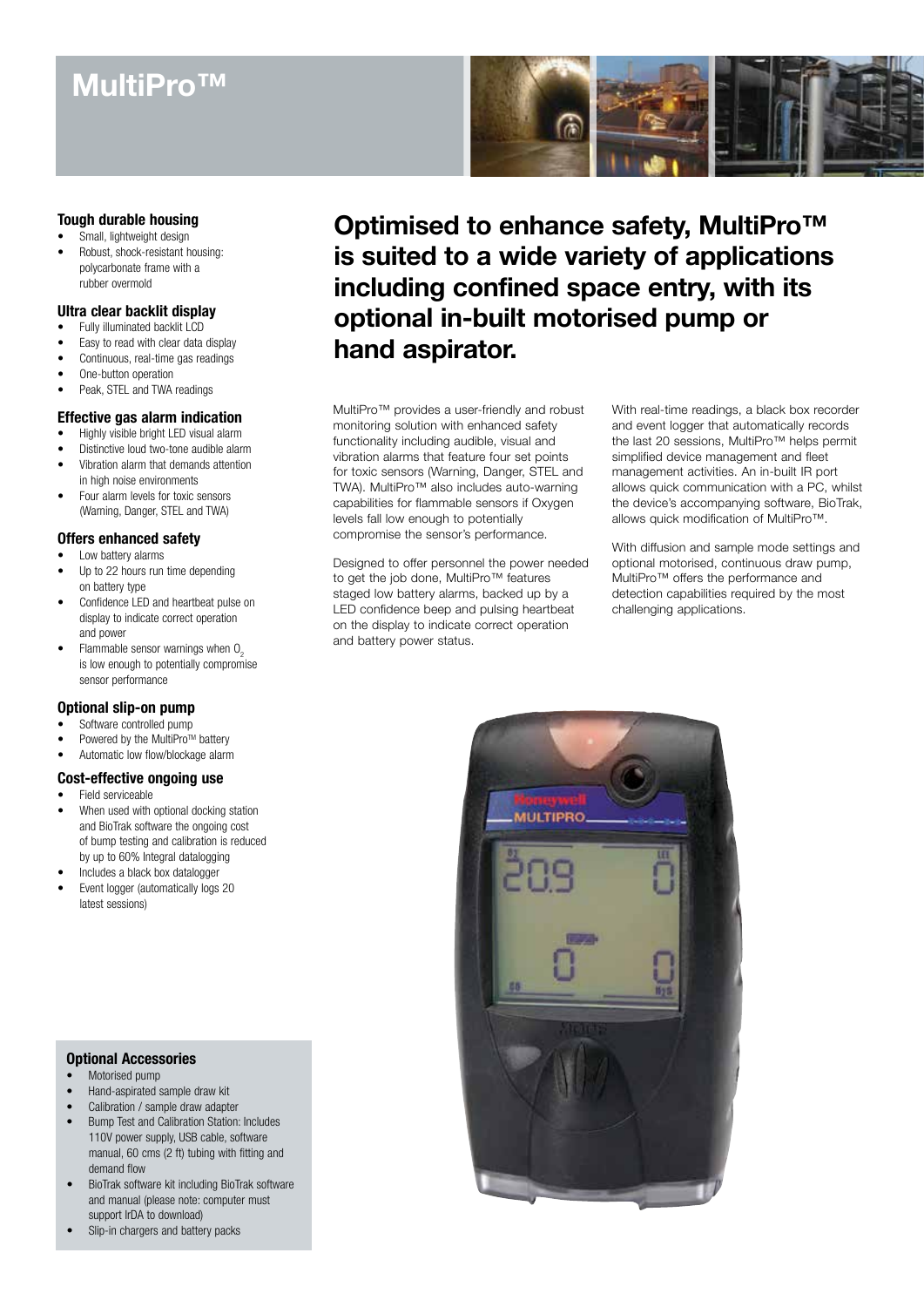## **MultiPro™**



### **Tough durable housing**

Small, lightweight design Robust, shock-resistant housing: polycarbonate frame with a rubber overmold

### **Ultra clear backlit display**

- Fully illuminated backlit LCD
- Easy to read with clear data display
- Continuous, real-time gas readings
- One-button operation
- Peak, STEL and TWA readings

### **Effective gas alarm indication**

- Highly visible bright LED visual alarm
- Distinctive loud two-tone audible alarm Vibration alarm that demands attention
- in high noise environments
- Four alarm levels for toxic sensors (Warning, Danger, STEL and TWA)

### **Offers enhanced safety**

- Low battery alarms
- Up to 22 hours run time depending on battery type
- Confidence LED and heartbeat pulse on display to indicate correct operation and power
- Flammable sensor warnings when  $O<sub>2</sub>$  is low enough to potentially compromise sensor performance

#### **Optional slip-on pump**

- Software controlled pump
- Powered by the MultiPro™ battery
- Automatic low flow/blockage alarm

### **Cost-effective ongoing use**

- Field serviceable
- When used with optional docking station and BioTrak software the ongoing cost of bump testing and calibration is reduced by up to 60% Integral datalogging
- Includes a black box datalogger
- Event logger (automatically logs 20 latest sessions)

### **Optional Accessories**

- Motorised pump
- Hand-aspirated sample draw kit
- Calibration / sample draw adapter
- Bump Test and Calibration Station: Includes 110V power supply, USB cable, software manual, 60 cms (2 ft) tubing with fitting and demand flow
- BioTrak software kit including BioTrak software and manual (please note: computer must support IrDA to download)
- Slip-in chargers and battery packs



MultiPro™ provides a user-friendly and robust monitoring solution with enhanced safety functionality including audible, visual and vibration alarms that feature four set points for toxic sensors (Warning, Danger, STEL and TWA). MultiPro™ also includes auto-warning capabilities for flammable sensors if Oxygen levels fall low enough to potentially compromise the sensor's performance.

Designed to offer personnel the power needed to get the job done, MultiPro™ features staged low battery alarms, backed up by a LED confidence beep and pulsing heartbeat on the display to indicate correct operation and battery power status.

With real-time readings, a black box recorder and event logger that automatically records the last 20 sessions, MultiPro™ helps permit simplified device management and fleet management activities. An in-built IR port allows quick communication with a PC, whilst the device's accompanying software, BioTrak, allows quick modification of MultiPro™.

With diffusion and sample mode settings and optional motorised, continuous draw pump, MultiPro™ offers the performance and detection capabilities required by the most challenging applications.

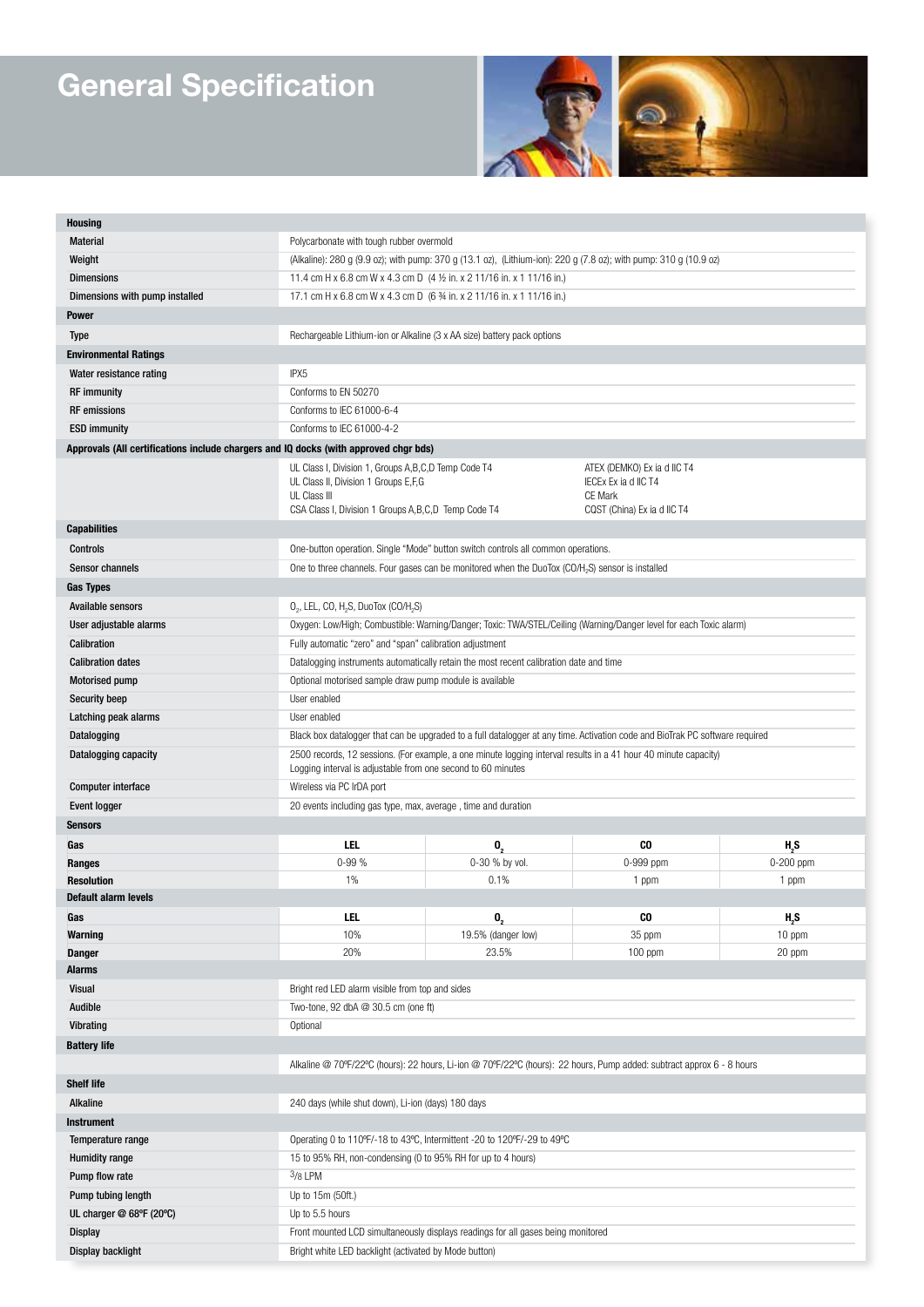# **General Specification**



| <b>Housing</b>                                                                       |                                                                                                                                                                                 |                    |                                                                                                      |             |  |
|--------------------------------------------------------------------------------------|---------------------------------------------------------------------------------------------------------------------------------------------------------------------------------|--------------------|------------------------------------------------------------------------------------------------------|-------------|--|
| <b>Material</b>                                                                      | Polycarbonate with tough rubber overmold                                                                                                                                        |                    |                                                                                                      |             |  |
| Weight                                                                               | (Alkaline): 280 g (9.9 oz); with pump: 370 g (13.1 oz), (Lithium-ion): 220 g (7.8 oz); with pump: 310 g (10.9 oz)                                                               |                    |                                                                                                      |             |  |
| <b>Dimensions</b>                                                                    | 11.4 cm H x 6.8 cm W x 4.3 cm D (4 1/2 in. x 2 11/16 in. x 1 11/16 in.)                                                                                                         |                    |                                                                                                      |             |  |
| Dimensions with pump installed                                                       | 17.1 cm H x 6.8 cm W x 4.3 cm D (6 % in. x 2 11/16 in. x 1 11/16 in.)                                                                                                           |                    |                                                                                                      |             |  |
| <b>Power</b>                                                                         |                                                                                                                                                                                 |                    |                                                                                                      |             |  |
| <b>Type</b>                                                                          | Rechargeable Lithium-ion or Alkaline (3 x AA size) battery pack options                                                                                                         |                    |                                                                                                      |             |  |
| <b>Environmental Ratings</b>                                                         |                                                                                                                                                                                 |                    |                                                                                                      |             |  |
| Water resistance rating                                                              | IPX <sub>5</sub>                                                                                                                                                                |                    |                                                                                                      |             |  |
| <b>RF</b> immunity                                                                   | Conforms to EN 50270                                                                                                                                                            |                    |                                                                                                      |             |  |
| <b>RF</b> emissions                                                                  | Conforms to IFC 61000-6-4                                                                                                                                                       |                    |                                                                                                      |             |  |
| <b>ESD immunity</b>                                                                  | Conforms to IEC 61000-4-2                                                                                                                                                       |                    |                                                                                                      |             |  |
| Approvals (All certifications include chargers and IQ docks (with approved chgr bds) |                                                                                                                                                                                 |                    |                                                                                                      |             |  |
|                                                                                      | UL Class I, Division 1, Groups A, B, C, D Temp Code T4<br>UL Class II, Division 1 Groups E,F,G<br>UL Class III<br>CSA Class I, Division 1 Groups A, B, C, D Temp Code T4        |                    | ATEX (DEMKO) Ex ia d IIC T4<br>IECEx Ex ia d IIC T4<br><b>CE Mark</b><br>CQST (China) Ex ia d IIC T4 |             |  |
| <b>Capabilities</b>                                                                  |                                                                                                                                                                                 |                    |                                                                                                      |             |  |
| <b>Controls</b>                                                                      | One-button operation. Single "Mode" button switch controls all common operations.                                                                                               |                    |                                                                                                      |             |  |
| <b>Sensor channels</b>                                                               | One to three channels. Four gases can be monitored when the DuoTox (CO/H <sub>2</sub> S) sensor is installed                                                                    |                    |                                                                                                      |             |  |
| <b>Gas Types</b>                                                                     |                                                                                                                                                                                 |                    |                                                                                                      |             |  |
| Available sensors                                                                    | $O_2$ , LEL, CO, H <sub>2</sub> S, DuoTox (CO/H <sub>2</sub> S)                                                                                                                 |                    |                                                                                                      |             |  |
| User adjustable alarms                                                               | Oxygen: Low/High; Combustible: Warning/Danger; Toxic: TWA/STEL/Ceiling (Warning/Danger level for each Toxic alarm)                                                              |                    |                                                                                                      |             |  |
| Calibration                                                                          | Fully automatic "zero" and "span" calibration adjustment                                                                                                                        |                    |                                                                                                      |             |  |
| <b>Calibration dates</b>                                                             | Datalogging instruments automatically retain the most recent calibration date and time                                                                                          |                    |                                                                                                      |             |  |
| <b>Motorised pump</b>                                                                | Optional motorised sample draw pump module is available                                                                                                                         |                    |                                                                                                      |             |  |
| <b>Security beep</b>                                                                 | User enabled                                                                                                                                                                    |                    |                                                                                                      |             |  |
| Latching peak alarms                                                                 | User enabled                                                                                                                                                                    |                    |                                                                                                      |             |  |
| Datalogging                                                                          | Black box datalogger that can be upgraded to a full datalogger at any time. Activation code and BioTrak PC software required                                                    |                    |                                                                                                      |             |  |
| Datalogging capacity                                                                 | 2500 records, 12 sessions. (For example, a one minute logging interval results in a 41 hour 40 minute capacity)<br>Logging interval is adjustable from one second to 60 minutes |                    |                                                                                                      |             |  |
| <b>Computer interface</b>                                                            | Wireless via PC IrDA port                                                                                                                                                       |                    |                                                                                                      |             |  |
| <b>Event logger</b>                                                                  | 20 events including gas type, max, average, time and duration                                                                                                                   |                    |                                                                                                      |             |  |
| <b>Sensors</b>                                                                       |                                                                                                                                                                                 |                    |                                                                                                      |             |  |
| Gas                                                                                  | LEL                                                                                                                                                                             | $\mathbf{0},$      | CO                                                                                                   | H,S         |  |
| Ranges                                                                               | $0 - 99%$                                                                                                                                                                       | 0-30 % by vol.     | 0-999 ppm                                                                                            | $0-200$ ppm |  |
| <b>Resolution</b>                                                                    | 1%                                                                                                                                                                              | 0.1%               | 1 ppm                                                                                                | 1 ppm       |  |
| Default alarm levels                                                                 |                                                                                                                                                                                 |                    |                                                                                                      |             |  |
| Gas                                                                                  | LEL                                                                                                                                                                             | $\mathbf{0}_{2}$   | CO.                                                                                                  | $H_{2}S$    |  |
| <b>Warning</b>                                                                       | 10%                                                                                                                                                                             | 19.5% (danger low) | 35 ppm                                                                                               | $10$ ppm    |  |
| <b>Danger</b>                                                                        | 20%                                                                                                                                                                             | 23.5%              | 100 ppm                                                                                              | 20 ppm      |  |
| <b>Alarms</b>                                                                        |                                                                                                                                                                                 |                    |                                                                                                      |             |  |
| Visual                                                                               | Bright red LED alarm visible from top and sides                                                                                                                                 |                    |                                                                                                      |             |  |
| Audible                                                                              | Two-tone, 92 dbA @ 30.5 cm (one ft)                                                                                                                                             |                    |                                                                                                      |             |  |
| Vibrating                                                                            | Optional                                                                                                                                                                        |                    |                                                                                                      |             |  |
| <b>Battery life</b>                                                                  |                                                                                                                                                                                 |                    |                                                                                                      |             |  |
|                                                                                      | Alkaline @ 70°F/22°C (hours): 22 hours, Li-ion @ 70°F/22°C (hours): 22 hours, Pump added: subtract approx 6 - 8 hours                                                           |                    |                                                                                                      |             |  |
| <b>Shelf life</b>                                                                    |                                                                                                                                                                                 |                    |                                                                                                      |             |  |
| Alkaline                                                                             | 240 days (while shut down), Li-ion (days) 180 days                                                                                                                              |                    |                                                                                                      |             |  |
| <b>Instrument</b>                                                                    |                                                                                                                                                                                 |                    |                                                                                                      |             |  |
| Temperature range                                                                    | Operating 0 to 110°F/-18 to 43°C, Intermittent -20 to 120°F/-29 to 49°C                                                                                                         |                    |                                                                                                      |             |  |
| <b>Humidity range</b>                                                                | 15 to 95% RH, non-condensing (0 to 95% RH for up to 4 hours)<br>$3/8$ LPM                                                                                                       |                    |                                                                                                      |             |  |
| Pump flow rate                                                                       | Up to 15m (50ft.)                                                                                                                                                               |                    |                                                                                                      |             |  |
| Pump tubing length                                                                   | Up to 5.5 hours                                                                                                                                                                 |                    |                                                                                                      |             |  |
| UL charger @ 68°F (20°C)                                                             | Front mounted LCD simultaneously displays readings for all gases being monitored                                                                                                |                    |                                                                                                      |             |  |
| <b>Display</b>                                                                       |                                                                                                                                                                                 |                    |                                                                                                      |             |  |
| Display backlight                                                                    | Bright white LED backlight (activated by Mode button)                                                                                                                           |                    |                                                                                                      |             |  |